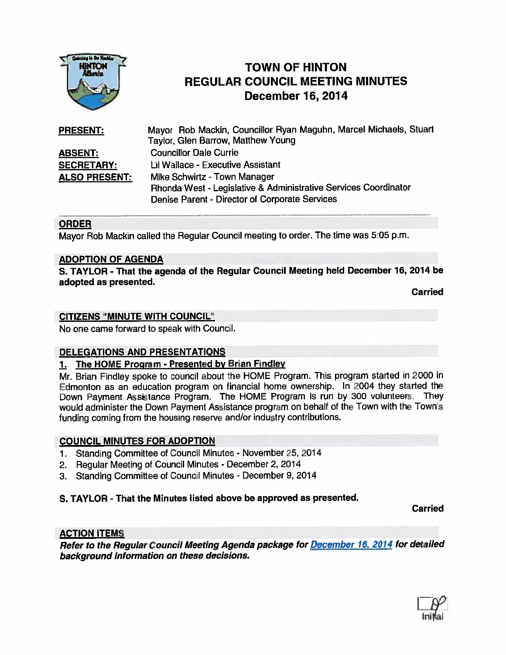

# TOWN OF HINTON REGULAR COUNCIL MEETING MINUTES December 16, 2014

| <b>PRESENT:</b>      | Mayor Rob Mackin, Councillor Ryan Maguhn, Marcel Michaels, Stuart |  |  |  |  |  |  |  |
|----------------------|-------------------------------------------------------------------|--|--|--|--|--|--|--|
|                      | Taylor, Glen Barrow, Matthew Young                                |  |  |  |  |  |  |  |
| <b>ABSENT:</b>       | <b>Councillor Dale Currie</b>                                     |  |  |  |  |  |  |  |
| <b>SECRETARY:</b>    | Lil Wallace - Executive Assistant                                 |  |  |  |  |  |  |  |
| <b>ALSO PRESENT:</b> | Mike Schwirtz - Town Manager                                      |  |  |  |  |  |  |  |
|                      | Rhonda West - Legislative & Administrative Services Coordinator   |  |  |  |  |  |  |  |
|                      | Denise Parent - Director of Corporate Services                    |  |  |  |  |  |  |  |

### ORDER

Mayor Rob Mackin called the Regular Council meeting to order. The time was 5:05 p.m.

### ADOPTION OF AGENDA

S. TAYLOR - That the agenda of the Regular Council Meeting held December 16, 2014 be adopted as presented.

Carried

### CITIZENS "MINUTE WITH COUNCIL"

No one came forward to speak with Council.

### OELEGATIONS AND PRESENTATIONS

#### 1. The HOME Program - Presented by Brian Findley

Mr. Brian Findley spoke to council about the HOME Program. This program started in <sup>2000</sup> in Edmonton as an education program on financial home ownership. In <sup>2004</sup> they started the Down Payment Assistance Program. The HOME Program is run by <sup>300</sup> volunteers. They would administer the Down Payment Assistance program on behalf of the Town with the Town's funding coming from the housing reserve and/or industry contributions.

#### COUNCIL MINUTES FOR ADOPTION

- 1. Standing Committee of Council Minutes November 25, 2014
- 2. Regular Meeting of Council Minutes December 2, 2014
- 3. Standing Committee of Council Minutes - December 9, <sup>2014</sup>

### S. TAYLOR - That the Minutes listed above be approved as presented.

Carried

### ACTION ITEMS

Refer to the Regular Council Meeting Agenda package for December 16, <sup>2014</sup> for detailed background information on these decisions.

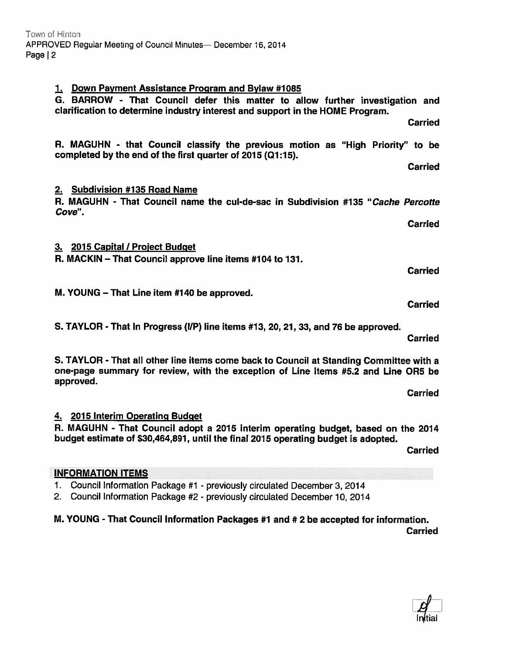R. MAGUHN - that Council classify the previous motion as "High Priority" to be completed by the end of the first quarter of 2015 (Q1:15).

## 2. Subdivision #135 Road Name

| R. MAGUHN - That Council name the cul-de-sac in Subdivision #135 "Cache Percotte |  |  |  |  |  |
|----------------------------------------------------------------------------------|--|--|--|--|--|
| Cove".                                                                           |  |  |  |  |  |

3. 2015 Capital / Project Budget

R. MACKIN — That Council approve line items #104 to 131.

M. YOUNG — That Line item #140 be approved.

S. TAYLOR - That In Progress (l/P) line items #13, 20, 21, 33, and 76 be approved.

Carried

Carried

S. TAYLOR - That all other line items come back to Council at Standing Committee with <sup>a</sup> one-page summary for review, with the exception of Line Items #5.2 and Line ORS be approved.

Carried

### 4. 2015 Interim Operating Budget R. MAGUHN - That Council adopt <sup>a</sup> 2015 interim operating budget, based on the 2014 budget estimate of \$30,464,891, until the final <sup>2015</sup> operating budget is adopted.

Carried

## INFORMATION ITEMS

1. Council Information Package #1 - previously circulated December 3,2014

2. Council Information Package #2 - previously circulated December 10, 2014

M. YOUNG - That Council Information Packages #1 and #2 be accepted for information. Carried



Town of Hinton APPROVED Regular Meeting of Council Minutes— December 16, 2014 Page  $|2$ 

Carried

Carried

Carried

Carried